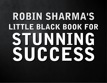# ROBIN SHARMA'S LITTLE BLACK BOOK FOR STUNNING SUCCESS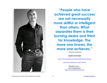

**"People who have achieved great success are not necessarily more skillful or intelligent than others. What separates them is their burning desire and thirst for knowledge. The more one knows, the more one achieves."**

**~ Robin Sharma**

**CONNECT WITH ROBIN:**

<http://www.facebook.com/theofficialrobinsharmapage>

[http://www.twitter.com/\\_robin\\_sharma](http://www.twitter.com/_robin_sharma)

Thank you. **© 2011 by Robin Sharma** [http://www.robinsharma.com](http://www.robinsharma.com/)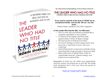

By International Bestselling Author Robin Sharma

#### THE LEADER WHO HAD NO TITLE

*A Modern Fable on Real Success in Business and in Life*

*"If you want to operate at the level of 'WOW!' be an exceptional leader, and live life 'full out', buy this book."* Darren Hardy, publisher, *SUCCESS* magazine

#### **In The Leader Who Had No Title, You Will Learn:**

- How to work with and influence people like a superstar, regardless of your position
- A method to recognize and then seize opportunities in times of deep change
- The real secrets of intense innovation
- An instant strategy to build a great team and become a "merchant of wow" with your customers
- Hard-hitting tactics to become mentally strong and physically tough enough to lead your field
- Real-world ways to defeat stress, build an unbeatable mind-set, unleash energy, and balance your personal life

Regardless of what you do within your organization and the current circumstances of your life, the single most important fact is that you have the power to show leadership.

PICK UP YOUR COPY NOW!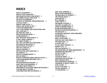### **INDEX**

**WHAT IS LEADERSHIP?:** 5 **WORLD CLASS LANGUAGE:** 7 **WHO MADE SUCCESS A BAD WORD?:** 8 **THE POWER OF DAILY PRACTICES:** 10 **THE EYES OF LEADERSHIP:** 13 **THE MYTH OF PERSONAL TRANSFORMATION:** 15 **LIVE FULLY NOW:** 17 **SIMPLIFY THEN FOCUS:** 18 **HOW TO GET GOOD AT LIFE:** 19 **YOUR FOUR MINUTE MILE:** 21 **CALL YOUR PARENTS, KISS YOUR SPOUSE AND HUG YOUR KIDS:** 23 **NO TRAIN NO GAIN:** 24 **DETACH FROM THE NOISE:** 26 **U B ENTHUSIASTIC:** 27 **WHY THOUGHTS SHAPE REALITY:** 29 **IT ONLY TAKES A MINUTE:** 31 **TELL GREAT STORIES:** 33 **ASK, ASK, ASK THEN ASK SOME MORE:** 35 **DO GOOD TO FEEL GOOD:** 37 **FIND POCKETS OF PEACE:** 39 **THIS DAY IS SPECIAL:** 41 **FEAR AS GROWTH:** 43 **PRACTICE THE LARRY KING RULE:** 44 **SELL GREATLY:** 47 **KUDOS TO WARREN BUFFET:** 50 **WHY BE GREAT:** 51 **ROUGH CONDITIONS BRING PRECIOUS GIFTS:** 52 YOUR ENVIRONMENT BECOMES YOU: 54 **FAIL TO WIN:** 55 **THE IMAGINATION ECONOMY:** 56 **DON'T FEED YOUR WEAKNESS:** 58 **THE THING ABOUT THINGS:** 59 **GREATNESS BY EVOLUTION VERSUS REVOLUTION:**62 **YOU FIND WHAT YOU SEEK:** 65 **CONVERSATIONS WITH ECCENTRICS:** 67

**NEXT LEVEL LISTENING:** 69 **READY MADE GREATNESS:** 71 **THE BRILLIANCE OF DIVERSITY:** 74 **JIM DONALD GETS IT:** 77 **LEAD LIKE IZZY:** 79 **BE A FINISHER:** 81 **CARLY GETS IT:** 82 **THE DREAM CATCHER:** 84 **SUCCESS VIA SIMPLICITY:** 86 **LEARN AT INTERSECTIONS:** 87 **BE LIKE PETER (DRUCKER):** 88 **LEVERAGE HARD RELATIONSHIPS:** 90 **THE ONE LEAP:** 93 **ACHIEVING LONGEVITY (AND GREATNESS IN BUSINESS):** 95 **FOCUS TO WIN:** 98 **BUILD YOUR POWER:** 100 **HOW BIG ARE YOUR SHOES?:** 101 **THE GIANT LEAP:** 102 **A GOOD CEO:** 104 **IT'S ALL ABOUT GROWTH:** 105 **RESPECT YOU:** 106 **LESS TALK MORE DO:** 107 **THE IMPORTANCE OF BEING REMARKABLE:** 108 **PROBLEMS ARE SERVANTS:** 109 **NO TRY NO WIN:** 111 **HONOR IS HIP:** 112 **YOU'RE AN ARTIST:** 113 **GRATITUDE FOR THE GOOD:** 115 **READ STRANGE STUFF:** 117 **THE COURAGEOUS QUESTION:** 119 **LEADERSHIP IS ABOUT CLARITY:** 120 **SOFT IS HARD:** 121 **TO ACT IS TO LEAD:** 123 **THE BIG QUESTION:** 124 **13 CHALLENGES:** 125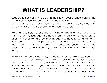### **WHAT IS LEADERSHIP?**

Leadership has nothing to do with the title on your business card or the size of your office. Leadership is not about how much money you make or the clothes you wear. Leadership is a philosophy. It's an attitude. It's a state of mind. And it's available to each one of us.

Here's an example. I spend a lot of my life on airplanes and traveling so I'm hard on my luggage. The handle on my carry-on luggage broke after my tour of Russia a few months ago (you have to put a visit to St. Petersburg on your list of places to visit before you die). Anyway, I take the piece in to Evex, a dealer in Toronto. The young man at the counter treated me wonderfully and within a few days, the handle was fixed.

While in New York a week ago, the handle broke again. I assumed that I'd have to pay for the repair when I went back into Evex. Most business put clients through so many hurdles: if you haven't saved the receipt you are out of luck, if you don't know who did the initial repair we cannot help you etc etc. Well Evex is different. They just get it. They understand that without treating their customers well, there is no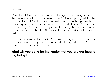business.

When I explained that the handle broke again, the young woman at the counter – without a moment of hesitation – apologized for the problem I faced. She then said: "We will promise you that you will have your carry-on in perfect order within 3 days. And of course Sir, there will be no charge." No bureaucracy around needing the receipt from the previous repair. No hassles. No issues. Just great service, with a giant smile.

This woman showed leadership. She quickly diagnosed the problem, assumed personal responsibility and made the right decision. And she wowed her customer in the process.

### **What will you do to be the leader that you are destined to be, today?**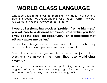# **WORLD CLASS LANGUAGE**

Language offers a framework for meaning. Think about that powerful idea for a second. We understand the world through words. The words you use determine the way you perceive reality.

### **If you call a stumbling block a "problem" or "a big mess" you will create a different emotional state within you than if you call the issue "an opportunity" or "a challenge that will only make me better."**

I have the privilege, as a success coach, to work with many extraordinarily successful people from around the world.

One of their core traits of greatness is that the vast majority of them understand the power of the word. **They use world-class language.** 

Not only do they refrain from using profanities, but they use the language of passion. They use the language of leadership. They use the language of possibility. They use the language of love.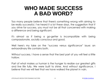### **WHO MADE SUCCESS A BAD WORD?**

Too many people believe that there's something wrong with aiming to be really successful. I've heard it a lot these days, the suggestion that if you strive for success, you must not be all that concerned with making a difference and being significant.

It's almost as if being a go-getter is incompatible with being compassionate, socially conscious and good.

Well here's my take on the "success versus significance" issue: an extraordinary life contains both.

Without success, I have a sense that the best part of you will feel a little hollow.

Part of what makes us human is the hunger to realize our greatest gifts and live life fully. We were built to shine. And without significance, I believe that we will feel that we have walked the planet in vain.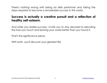There's nothing wrong with being an elite performer and taking the steps required to become a remarkable success in this world.

### **Success is actually a creative pursuit and a reflection of healthy self-esteem.**

And while you realize success, I invite you to stay devoted to elevating the lives you touch and leaving your world better than you found it.

That's the significance piece.

With both, you'll discover your greatest life.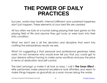### **THE POWER OF DAILY PRACTICES**

Success, world-class health, internal fulfillment and sustained happiness don't just happen. These elements of your best life are created.

All too often we look at a human being playing their best game on the playing field of life and assume they got lucky or were born into their lofty condition.

What we don't see is all the devotion and discipline that went into crafting the extraordinary results we see.

What I'm suggesting is that personal and professional greatness takes work. I'm not someone who would ever tell you that you could get to your dreams without having to make some sacrifices and pay the price in terms of dedication and self-control.

The best amongst us make it all look so easy. I call it **The Swan Effect** elite performers make personal excellence look effortless and seem to make things happen as gracefully as a swan moves along the water.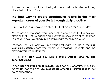But like the swan, what you don't get to see is all the hard-work taking place below the surface.

### **The best way to create spectacular results in the most important areas of your life is through daily practice.**

In my life, I have a series of practices that set me up for a great day.

Yes, sometimes life sends you unexpected challenges that knock you off track-that's just life happening. But with a series of practices to keep you at your best, you'll stay in a positive state much more often.

Practices that will lock you into your best state include a **morning journaling session** where you record your feelings, thoughts, and the blessings you are grateful for.

Or you may **start your day with a strong workout** and an **elite performer's meal**.

I often **listen to music for 15 minutes**, as it not only energizes me, it just makes life better. I also **use success statements or affirmations** to get my mind focused.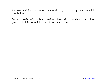Success and joy and inner peace don't just show up. You need to create them.

Find your series of practices, perform them with consistency. And then go out into this beautiful world of ours and shine.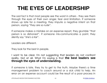### **THE EYES OF LEADERSHIP**

The sad fact is that most people see the worst in others - they see them through the eyes of their own anger, fear and limitation. If someone shows up late for a meeting, they impute a negative intent on that person, saying "they are so rude".

If someone makes a mistake on an expense report, they grumble "that person is so dishonest". If someone mis-communicates a point, they silently say "she's a liar".

Leaders are different.

They look for the best in people.

I want to be clear. I'm not suggesting that leaders do not confront reality. Not at all. What I'm saying is that **the best leaders see through the eyes of understanding.** 

If someone is late, they try to get to the truth. Maybe there's a time management problem to coach around or a sick child to help. An error on an expense account could be the result of a poor process in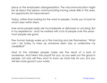place or the employee's disorganization. The miscommunication might be all about the person communicating having weak skills in this area. An opportunity for improvement.

Today, rather than looking for the worst in people, I invite you to look for what's best within them.

Sure some people really are inconsiderate or dishonest or uncaring. But in my experience - and I've worked with a lot of people over the years most people are good.

Few human beings wake up in the morning and ask themselves: "What can I do today to mess up someone else's day or undermine my credibility?"

Most of the mistakes people make are the result of a lack of awareness. And here's the payoff for you: as you seek out the good in people, not only will they want to show up more fully for you, but you will see more good in your world.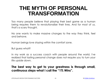### **THE MYTH OF PERSONAL TRANSFORMATION**

Too many people believe that playing their best game as a human being requires them to revolutionalize their lives. And for most of us, that's a scary thought.

No one wants to make massive changes to the way they think, feel and behave.

Human beings love staying within the comfort zone.

But guess what?

In my work as a success coach with people around the world, I've realized that lasting personal change does not require you to turn your life upside down.

### **The best way to get to your greatness is through small, continuous steps-what I call the "1% Wins".**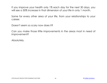If you improve your health only 1% each day for the next 30 days, you will see a 30% increase in that dimension of your life in only 1 month.

Same for every other area of your life, from your relationships to your career.

Doesn't seem so scary now does it?

Can you make those little improvements in the areas most in need of improvement?

Absolutely.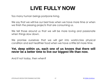### **LIVE FULLY NOW**

Too many human beings postpone living.

We say that we will live our best lives when we have more time or when we finish the pressing projects that are consuming us.

We tell those around us that we will be more loving and passionate when things slow down.

We promise ourselves that we will get into world-class physical condition and eat healthier food when we have a little bit more time.

#### **Yet, deep within us, each one of us knows that there will never be a better time to live our biggest life than now.**

And if not today, then when?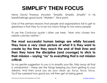### **SIMPLIFY THEN FOCUS**

Henry David Thoreau shouted *"Simplify. Simplify. Simplify"* in his breathtakingly good book "Walden". Nice point.

One of the primary reasons that people and organizations fail to get to greatness is that they try to be too many things to too many people.

I'll use the Confucius quote I often use here: *"Man who chases two rabbits catches neither."*

**The most successful human beings are wildly focused. They have a very clear picture of what it is they want to create by the time they reach the end of their lives and then they have the discipline (and courage) to stick to their mission – saying "no" to everything that is not mission critical.**

So my gentle suggestion to you is to simplify your life. Strip away all that is unimportant – these are the things keeping you from getting to your dreams. And then once you do your clean up, focus, focus, focus. You'll be surprised how good you will then get at being great.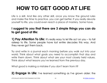# **HOW TO GET GOOD AT LIFE**

Life is a skill. And like any other skill, once you know the ground rules and make the time to practice, you can get better. If you really devote yourself to life, you could even reach a place of mastery. Some have.

### **I suggest to you that there are 3 simple things you can do to get good at life:**

**1) Pay Attention To Life:** It's really easy to let life act on you – to fall asleep to life. Some people have lost entire decades this way. And they never got them back.

Try and write in a journal each morning before you walk out into your world. Think about what goals you need to accomplish that day and write them down. Think about what are your most closely held values. Think about what lessons you've learned from the previous day.

What good is making a mistake if you don't learn from it?

**2) Engage In Life:** I've learned something as I've grown older: the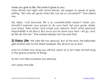more you give to life, the more it gives to you.

Over dinner last night with some friends, we began to speak of goalsetting. *"But why set goals when life can be so uncertain?"* One asked me.

My reply: *"Just because life is so unpredictable doesn't mean you shouldn't exercise your power to do your best. Set your goals. Make your plans. Take action and chase your dreams. That's what personal responsibility is all about. But once you've done your best – let go. And let life do the rest."* She looked deeply into her pad thai.

**3) Enjoy Life:** We take life too seriously. But at the end, the billionaire gets buried next to the street sweeper. We all end up as dust.

And no matter how long you will live, each of us isn't here all that long in the grand scheme of things.

So let's not take ourselves too seriously.

Let's enjoy the ride.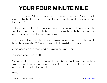# **YOUR FOUR MINUTE MILE**

The philosopher Arthur Schopenhauer once observed: "Most people take the limits of their vision to be the limits of the world. A few do not. Join them."

Profound point. The life you see this very moment isn't necessarily the life of your future. You might be viewing things through the eyes of your fears, limitations and false assumptions.

Once you clean up the stained glass window you see the world through, guess what? A whole new set of possibilities appear.

Remember, we see the world not as it is but as we are.

That idea changed my life.

Years ago, it was believed that no human being could ever break the 4 minute mile barrier. But after Roger Bannister broke it, many more replicated his feat within weeks.

Why?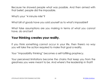Because he showed people what was possible. And then armed with that belief, people did the impossible.

What's your "4 minute mile"?

What bill of goods have you sold yourself as to what's impossible?

What false assumptions are you making in terms of what you cannot have, do and be?

#### **Your thinking creates your reality.**

If you think something cannot occur in your life, then there's no way you will take the action required to make that goal a reality.

Your "impossibility thinking" becomes a self-fulfilling prophecy.

Your perceived limitations become the chains that keep you from the greatness you were meant to be. And where's the leadership in that?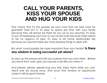### **CALL YOUR PARENTS, KISS YOUR SPOUSE AND HUG YOUR KIDS**

Ever notice that it's the people we love most that we take most for granted? Odd isn't it. It's easy to spend less time with your family because they will always be there for you (or so you assume). It's easy to put off expressing your love to your loved ones because there seems to be no urgency at play. It's easy to let home relationships slip because you assume there are more pressing things to deal with.

#### But what could possibly be more important than your family? **Is there any wisdom in being successful yet alone?**

So pick up the phone and tell your parents that you love them. Before you leave from work, give your spouse a kiss-like you mean it.

And please, please, please-hug your kids. Enjoy them while you canthey'll only be young once. And once that window of opportunity closes-it will be gone forever.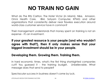# **NO TRAIN NO GAIN**

What do The Ritz Carlton, The Hotel Victor (in Miami), Nike, Amazon, Omni Health Care, IBM, Satyam Computer, KPMG and other organizations that consistently deliver near flawless execution around world-class customer service have in common?

Their management understands that money spent on training is not an expense - it's an investment.

### **If your greatest resource is your people (and who wouldn't agree with that?), then it only makes sense that your biggest investment should be in your people.**

### **Developing them. Growing them. Training them.**

In hard economic times, what's the first thing shortsighted companies cut? You guessed it - the training budget. Unbelievable. What message does that send to people?

Spectacular success in business doesn't come by luck.

LITTLE BLACK BOOK FOR STUNNING SUCCESS 24 © [ROBIN SHARMA](http://bit.ly/ldebook-robin-sharma)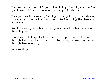The best companies didn't get to their lofty positions by chance. The great ones didn't reach the mountaintop by coincidence.

They got there by relentlessly focusing on the right things. Like delivering outrageous value to their customers. Like innovating like there's no tomorrow.

And by investing in the human beings who are at the heart and soul of the enterprise.

How easy it is to forget that the true worth of your organization walks in through the front doors of your building every morning and leaves through them every night.

No train. No gain.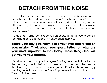# **DETACH FROM THE NOISE**

One of the primary traits of world-class performers (in business and in life) is their ability to "detach from the noise". Each day, "noise" such as little crises, minor interruptions and interesting distractions beg for our attention. To get to your own unique form of personal and professional greatness, it's important - no, essential - to detach from the noise and stay "on vision".

A simple daily practice to keep you on course to get to your dreams is spending a period immersed in silence each morning.

### **Before your day gets noisy, close your eyes and reflect on your mission. Think about your goals. Reflect on what are your most important To Dos today. Those things that will get you to your dreams.**

We all face "the tyranny of the urgent" during our days. But the best of the best stay true to their vision, values and virtues. And they ensure that the things that truly count never get sacrificed for those seemingly pressing but unimportant ones. They simply refuse to major in the minor. They avoid the noise.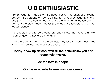### **U B ENTHUSIASTIC**

"Be Enthusiastic" smacks of trite sloganeering. "Be energetic" sounds obvious. "Be passionate" seems boring. Yet without enthusiasm, energy and passion, you cannot lead your field and an organization cannot get to world-class. (Hey, I never pretended this leadership stuff was rocket science).

The people I love to be around are often those that have a simple, heartfelt quality: they are enthusiastic.

They are open to life. They are curious. They love to learn. They smile when they see me. And they have a lot of fun.

### **Today, show up at work with all the enthusiasm you can genuinely muster.**

**See the best in people.** 

#### **Go the extra mile to wow your customers.**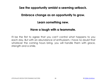#### **See the opportunity amidst a seeming setback.**

#### **Embrace change as an opportunity to grow.**

#### **Learn something new.**

#### **Have a laugh with a teammate.**

I'll be the first to agree that you can't control what happens to you each day. But with an abundance of enthusiasm, I have no doubt that whatever the coming hours bring, you will handle them with grace, strength and a smile.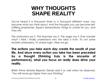### **WHY THOUGHTS SHAPE REALITY**

You've heard it a thousand times in a thousand different ways: you become what you think about. And the thoughts you use become selffulfilling prophecies. Expect extraordinary things to unfold for you, and they will.

The motivators say it. The teachers say it. The sages say it. Ever wonder why? I think I finally understand why the idea is truth. It's not some esoteric philosophy. It's simple logic. Here we go:

**The actions you take each day create the results of your life. And since every action you take has been preceded by a thought (thinking truly is the ancestor of performance), what you focus on really does drive your reality.** 

British Prime Minister Bejamin Disrael said it so well when he observed, "You will never go higher than your thinking."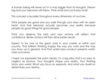A human being will never act in a way bigger than its thoughts. Dream big and your behavior will follow. Think small and you'll play small.

This concept cascades throughout every dimension of our lives.

Think people are good and you walk through your days with an open heart. And that behavior actually becomes your reality because people do good things for good people.

Think you deserve the best and your actions will reflect that confidence. Better actions will then drive better results.

Expect to be one of the great ones in your career or within your country. That brilliant thinking shapes the way you work and the way you show up in general. And that world-class conduct presents worldclass outcomes.

I hope I've expressed the point clearly. It's a big idea that is so easy to neglect as obvious. Your thoughts shape your reality. Your thinking forms your world. What you focus on expands. And what you dwell on determines your destiny.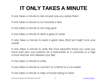# **IT ONLY TAKES A MINUTE**

It only takes a minute to tell a loved one you adore them

It only takes a minute to run towards a fear

It only takes a minute to set a big goal

It only takes a minute to drink a glass of water

It only takes a minute to read a great idea (that just might rock your world)

It only takes a minute to write the most beautiful thank you note you have ever sent your parents (or a teammate or a customer or a high school teacher who blessed your life)

It only takes a minute to smile

It only takes a minute to connect to a friend or a co-worker

It only takes a minute to help a human being in need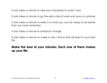It only takes a minute to raise your standards to world- class

It only takes a minute to go the extra mile at work and wow a customer

It only takes a minute to reflect on what you can do today to be better than you were yesterday

It only takes a minute to embrace change

It only takes a minute to make a new choice that will lead to your best life.

### **Make the best of your minutes. Each one of them makes up your life.**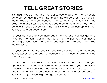# **TELL GREAT STORIES**

**Big idea:** People step into the stories you create for them. People generally behave in a way that meets the expectations you have of them. People generally conduct themselves in alignment with the belief, faith and trust you've developed around them. And they mostly behave in accordance with the tightly cherished perceptions that you've structured about them.

Tell your kid that she's your hero each morning and that kids going to shine like The North Star for the rest of her life (tell your kids they're amazing at least 500 times a day; and hug them like you'll never see them again).

Tell your teammate that you wish you were half as good as them and you've just created a space of possibility for that human being to step into (and up to).

Tell the person who serves you your next restaurant meal that you appreciate them and then flash the most honest smile you can muster (doesn't matter if your tired - leaders do what's right versus easy). Do so and you've just reminded a human to be human and spread some of your stardust (and you might just get a free meal).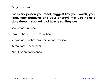Tell good stories.

### **For every person you meet, suggest (by your words, your tone, your behavior and your energy) that you have a story deep in your mind of how great they are.**

See the best in people.

Look for the greatness inside them.

Remind people that they were meant to shine.

By the stories you tell them.

About their magnificence.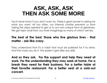### **ASK, ASK, ASK THEN ASK SOME MORE**

You'll never know if you don't even try. There is giant power in asking for what you want. All too often, our internal chatter prevents us from taking the steps needed to get us to our own unique form of greatness. We get kept small from our inner imaginings-so many of which are lies.

### **The best of the best, those who live glorious lives - that matter - ask like crazy.**

They understand that it's a habit that must be polished for it to shine. And the more you do it, the easier it gets (like any skill).

**And so they ask. For the support and help they need at work. For the understanding they may seek at home. For a break they need for their business. For a better table at their favorite restaurant. For a better seat at a sold-out concert.**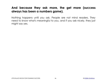### **And because they ask more, the get more (success always has been a numbers game).**

Nothing happens until you ask. People are not mind readers. They need to know what's meaningful to you, and if you ask nicely, they just might say yes.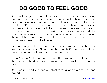# **DO GOOD TO FEEL GOOD**

So easy to forget this one: doing good makes you feel good. Being kind to a co-worker not only enables and elevates them - it lifts your mood. Adding outrageous value to a customer and making them feel like the VIP that they are not only makes them your goodwill ambassador (spreading word of your services like a virus) - it unlocks a wellspring of positive sensations inside of you. Going the extra mile for your spouse or your child not only leaves them better than you found them - it helps you feel connected to the ones you love (which promotes happiness and fulfillment).

Not only do good things happen to good people (life's got this really fair accounting system; Nature must have an MBA in accounting), but people who do great things get to feel great feelings.

This isn't some "soft" idea (and if ideas like these are so "soft" why are they so very hard to do?; anyone can be cranky or unkind or mediocre.

Being positive and kind and excellent takes a lot more discipline and power).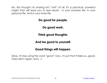No, this thought I'm sharing isn't "soft" at all. It's a practical, powerful insight that will lead you to real results - in your business life. In your personal life. And in your inner life.

**Do good for people.** 

**Do good work.** 

**Think good thoughts.** 

**And be good to yourself.** 

#### **Good things will happen.**

Okay, I'll stop using the word "good" now...it's just that it feels so...good. Oops-did it again. Sorry. :)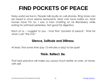# **FIND POCKETS OF PEACE**

Noisy world we live in. People talk loudly on cell phones. Ring tones can be heard in once serene restaurants. Most cars have radios on. Most homes have TVs on. I saw a man chatting on his Blackberry while eating his oatmeal yesterday. Not good for digestion.

Each of us - I suggest to you - must find "pockets of peace". Time for what I call "The 3 Ss":

#### **Silence, Solitude and Stillness.**

At least, find some time (say 15 minutes a day) to be quiet.

#### **Think. Reflect. Be.**

That best practice will make you soooo much better at work, at home, with self.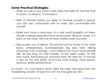#### **Some Practical Strategies:**

- When you are in your car/in a taxi, keep the radio off. Use that time to renew. To observe. To introspect.
- Take 15 minutes before you sleep to immerse yourself in peace. Just chill. Get comfortable with no noise. Get comfortable with yourself.
- Make your home a sanctuary. It's a wild world (jungle?) out there. Create a deeply peaceful home environment. Reduce clutter. Cut back on the noise. Get one of those mobile water fountains.
- Take a daily vow of silence. This one isn't just for monks. It's for smart execs, entrepreneurs, businesspeople. Big idea here: talking consumes a ton of energy. I can't believe how much some people talk. All day long. On their mobiles. At the water cooler. On the train home. Exhausting just watching them. Be silent for 15 minutes a day (at the very least). You'll have more energy. More peace. More joy. Better performance.

So chase - no, hunt peace down. Fight the noise. Get away from the maddening crowds - at least for a bit. You'll be glad you did.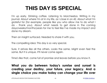# **THIS DAY IS SPECIAL**

I'm up early. Drinking coffee. Listening to Morcheeba. Writing in my journal. About where I'm at in my life, as I close in on 42. About what I'm grateful for (for example, people like you who allow me to do what I do - thank you). About what needs to get done in the coming days/weeks/months/years for me to feel like I've made my impact and done my dream.

Then an insight surfaced. Needed to share it with you.

The compelling idea: This day is so very special.

Sure, it arrives like all the others. Looks the same. Might even feel the same. But it is unique. It'll never come again.

Time's like that, come full of promise and leaves before you know it.

#### **What you do between today's sunrise and sunset is creating your destiny, your future, your legacy. And a single choice you make today can change your life over**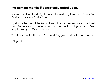#### **the coming months if consistently acted upon.**

Spoke to a friend last night. He said something I slept on: "My wife's God is money. My God is time."

I get what he meant: he knows time is the scarcest resource. Use it well and life sends you the extraordinary. Waste it and your heart feels empty. And your life looks hollow.

This day is special. Honor it. Do something great today. I know you can.

Will you?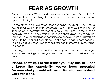# **FEAR AS GROWTH**

Fear can be scary. When it surfaces, we are wired to run. To avoid it. To consider it as a bad thing. Not true. In my mind fear is beautiful. An opportunity. A gift.

On the other side of every fear that is keeping you small is your natural power (and your authentic greatness). To run from your fear is to run from the brilliance you were meant to be. A fear is nothing more than a doorway into the highest version of your highest vision. The things that scare you are spectacular opportunities to discover more of all you are meant to be. Fear isn't bad. Nope. It's all good. Leads to confidence (if you do what you fear). Leads to self-respect. Promotes growth. Makes you better.

So today, at work or at home, if something comes up that causes you to feel like running/avoiding/resisting, don't make a beeline for the door.

**Instead, show up like the leader you truly can be - and embrace the opportunity you've been presented. Because what you resist will persist. But what you befriend, you'll transcend.**

LITTLE BLACK BOOK FOR STUNNING SUCCESS 43 © [ROBIN SHARMA](http://bit.ly/ldebook-robin-sharma)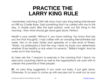### **PRACTICE THE LARRY KING RULE**

I remember watching CNN talk show host Larry King being interviewed on PBS by Charlie Rose. Said something that I've carried with me to this day. A simple point (like the best points): work out first thing in the morning - then what should get done gets done. Perfect.

Health is your wealth. Without it, you have nothing. You know that (do you live that though?). I had coffee with an amazing friend/thinker last week. He's in his early forties and operates at a rare level of fitness. "Robin, my philosophy is that the way I treat my body now determines whether I'll be healthy or sick when I'm seventy." Brilliant insight. And he works out in the morning.

So here are the 7 reasons to exercise in the morning that I teach my executive coaching clients as well as the organizations we work with to unleash the potential of their people:

**#1.** As Larry King suggested, if you work out early, it just gets done. Otherwise, it's so easy to come up with excuses not to work out as your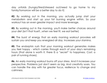day unfolds (hungry/tired/stressed out/need to go home to my family/tomorrow will be a better day to do it)

**#2.** By working out in the morning, you actually jump start your metabolism and start up your fat burning engine within. So your workout has an even greater impact and more leverage.

**#3.** By working out in the morning, you'll make better choices around your diet (isn't that true?...when we feel fit, we eat better)

**#4.** The burst of energy that an early morning workout provokes will sustain you and keep you energized all day. Increases your stamina.

**#5.** The endorphin rush that your morning workout generates makes you feel happy - which carries through each of your day's remaining hours (that alone is worth it; there IS a "secret" to happiness. Cost: a pair of running shoes).

**#6.** An early morning workout burns off your stress. And it increases your perspective. Problems just don't seem as big. And creativity soars. You can handle the day with far greater focus, resilience to change and calmness.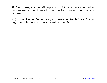**#7.** The morning workout will help you to think more clearly. As the best businesspeople are those who are the best thinkers (and decisionmakers).

So join me. Please. Get up early and exercise. Simple idea. That just might revolutionize your career as well as your life.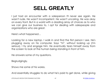## **SELL GREATLY**

I just had an encounter with a salesperson I'll never see again. He wasn't rude. He wasn't incompetent. He wasn't uncaring. He was okay on every front. But in a world with a dazzling array of choices as to who we can give our business to, I opt for dealing with salespeople and organizations who are great.

Here's what happened…

Looking for a new laptop. I walk in and find the first person I see. He's plugging away on his computer. Says "hi", without looking up (I'm serious). I try and engage him. He eventually tears himself away from the screen to look at the human being standing in front of him.

He answers some of my questions.

Begrudgingly.

Shows me some of his wares.

And essentially struggles to do what he's paid to get done, while giving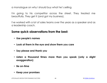a monologue on why I should buy what he's selling.

I'm going to his competitor across the street. They treated me beautifully. They get it (and got my business).

I've worked with a lot of sales teams over the years as a speaker and as a leadership coach.

#### **Some quick observations from the best:**

- **Use people's names**
- **Look at them in the eye and show them you care**
- **Say please and thank you**
- **Listen a thousand times more than you speak (only a slight exaggeration)**
- **Be on-time**
- **Keep your promises**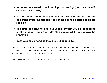- **Be more concerned about helping than selling (people can sniff sincerity a mile away)**
- **Be passionate about your products and services so that passion gets transferred (the first sales person had all the passion of an old shoe box)**
- **Be better than anyone else in your field at what you do (so read up on the product, learn daily, develop yourself/skills and always be improving)**
- **Treat your customers like they are visiting royalty.**

Simple strategies. But remember: *what separates the best from the rest is their consistent adherence to a few simple best practices that over time evolve into spectacular results.*

And also remember, everyone is selling something.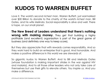# **KUDOS TO WARREN BUFFET**

Love it. The world's second richest man, Warren Buffett, just earmarked over \$30 Billion to donate to the charity of the world's richest man, Bill Gates, and his wife Melinda. Social responsibility is alive and well. There is hope, on our small planet.

**The New Breed of Leaders understand that there's nothing wrong with making money.** They get that building a highly profitable (and excellent) organization is part of the great game of business (and definitely one way to keep score).

But they also appreciate that with rewards comes responsibility. And so they work hard to build an enterprise that is good. And honorable. And makes a positive difference in this world we are stewards of.

So gigantic kudos to Warren Buffett. And to Bill and Melinda Gates (whose foundation is making important strides in the war against HIV and malaria). And to all those other leaders who not only take care of themselves but use their gifts to elevate others. You inspire us. And you make a difference.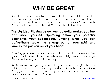## **WHY BE GREAT**

Sure it takes effort/discipline and gigantic focus to get to world-class (and live your greatest life). Sure leadership is about doing what's right versus easy. And I agree that success requires sacrifices. So why do it? Because it'll make you feel good. Which makes it all worth it.

**The big idea: Playing below your potential makes you feel bad about yourself. Operating below your potential diminishes your self-respect. Limiting what you can do/be/have sucks the energy out of your spirit and knocks the passion out of your heart.**

Climbing your personal and professional mountaintop makes you feel good about yourself. Boost your self-respect. Heighten your self-image. Fills you with energy and faith. And joy.

Achievement and getting superb things done with the gifts that are within you is one of the best ways to fill your life with more happiness. Being great - even when it's not easy to do so - is a brilliant move. That yields handsome rewards. Always.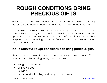### **ROUGH CONDITIONS BRING PRECIOUS GIFTS**

Nature is an incredible teacher. Life is run by Nature's Rules. So it only makes sense to observe how nature works to really get how life works.

This morning I observed something fascinating. The rains of last night here in Southern Italy caused a little miracle on the verandah of the apartment we are staying at: the collection of cacti in the garden has morphed into a stunning array of flowers (I've never seen flowers coming from cacti).

#### **The Takeaway: Rough conditions can bring precious gifts.**

Life can be hard. We all have our good seasons as well as our difficult ones. But hard times bring many blessings. Like:

- Strength of character
- Self-knowledge,
- Courage
- Greater understanding and deeper compassion.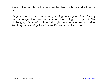Some of the qualities of the very best leaders that have walked before us.

We grow the most as human beings during our roughest times. So why do we judge them as bad - when they bring such good? The challenging pieces of our lives just might be when we are most alive. And they always bring tiny miracles. If you are awake to them.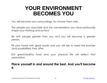### **YOUR ENVIRONMENT BECOMES YOU**

You will become your surroundings. So choose them well.

The people you associate and the conversations you have profoundly shape your thinking and actions.

Be with people greater than you and you will become a greater person.

Fill your home with great books and you will rise to meet the promise (and possibilities) they offer.

Eat great/healthy food and your physical life will reflect that association.

#### **Place yourself in and around the best. And you'll become it.**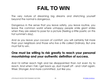## **FAIL TO WIN**

The very nature of dreaming big dreams and stretching yourself beyond the normal is dangerous.

Dangerous in the sense that you leave safety, you leave routine, you leave the common world where unhappy people smile giant smiles when they are asked to pose for a picture (feeling a little poetic on this hot summer's day).

And as you leave your cocoon of comfort, you will certainly fail more than your neighbors and those who live a life called Ordinary. But one must fail to win.

#### **One must be willing to risk greatly to reach your personal mountaintop and your authentic definition of success.**

And I'd rather reach high and be disappointed than not even try to reach. And when I fall, I get back up, dust myself off - and I start again. Wiser. Stronger. And more committed. Just like you.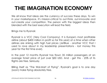# **THE IMAGINATION ECONOMY**

We all know that ideas are the currency of success these days. To win in your marketspace, it's mission-critical to out-think, out-innovate and out-create your competition. The person with the biggest ideas then blended with the best execution will lead the field.

Brings me to Ryanair.

Ryanair is a VCC (Very Cool Company). It is Europe's most profitable airline (about \$400 million in profit so far this year) at a time when other airlines are sinking with high fuel prices (JetBlue - another VCC that I used to rave about in my leadership presentations - lost money this year for the first time ever).

In the past 12 months Ryanair has flown 35 million passengers at an average ticket price of just over \$50 USD. And - get this - 25% of its flights are free. Seriously.

Billing itself as "The Wal-Mart of Flying", Ryanair's goal is to one day (soon) make flying absolutely free.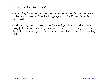So how does it make money?

By charging for other services. Ad revenue comes from commercials on the back of seats. Checked luggage costs \$3.50 per piece. Food is always extra.

By reinventing the business model for winning in their industry, Ryanair is doing just that. And showing us what innovation and imagination is all about in the change-crazy economy we find ourselves operating within.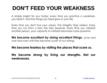# **DON'T FEED YOUR WEAKNESS**

A simple insight for you today: every time you practice a weakness, you feed it. And the things you feed grow in your life.

Every time you don't live your values, The Integrity Gap widens. Every time you run from a fear, the fear expands. Every time you mistreat another person, your capacity to mistreat becomes more powerful.

**We become excellent by doing excellent things.** (over and over and over until they become a part of our wiring).

#### **We become fearless by visiting the places that scare us.**

**We become strong by living our strengths. Not our weaknesses.**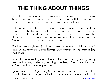# **THE THING ABOUT THINGS**

Here's the thing about spending your life/energy/talents chasing things: the more you get, the more you want. They never fulfill their promise of happiness. It's a pretty cruel ruse once you really think about it.

Get the car you've been dreaming of for years and after a few days, you're already thinking about the next one. Move into your dream home or get your dream job and within a couple of weeks the attraction has faded and the sparkle has gone. It's no longer exciting. Your attention moves on, to the next desire.

What life has taught me (and I'm certainly no guru and definitely don't have all the answers) is that **things can never bring you a joy that lasts.** 

I want to be incredibly clear: there's absolutely nothing wrong, in my mind, with having/collecting/wanting nice things. They make the climb to The Mountaintop more pleasant.

I guess what I'm trying to say is that perhaps the key for us is not to worship them. Not to get hooked by them. Not to be enslaved by all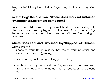things material. Enjoy them. Just don't get caught in the trap they often set.

#### **So that begs the question: "Where does real and sustained joy/happiness/fulfillment come from?"**

Here's a quick list, based on my current level of understanding (big idea: we cannot see any higher than the level of our understanding; the more we understand, the more we will see...like scaling a mountain):

#### **Where Does Real and Sustained Joy/Happiness/Fulfillment Come From?**

- Spending your life in pursuits that realize your potential and awaken your talents (growing)
- Transcending our fears and letting go of limiting beliefs
- Achieving worthy goals and creating success on our own terms (rather than according to the definition of success of those around us)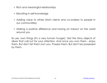- Rich and meaningful relationships
- Elevating in self-knowledge
- Adding value to others (from clients and co-workers to people in our communities)
- Making a positive difference and having an impact on the world around you

So yes, own things (it's a very human hunger). Get the shiny objects of allure that call out for your attention. And once you own them - enjoy them. But don't let them own you. Possess them. But don't be possessed by them.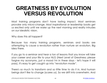### **GREATNESS BY EVOLUTION VERSUS REVOLUTION**

Most training programs don't have lasting impact. Most seminars provoke only micro-change. Most inspirational or leadership books get us excited only until we wake up the next morning and reality intrudes on our idealistic vision.

Why does this all happen?

Because too many training programs, seminars and books are attempting to cause a revolution rather than nurture an evolution. Big idea there.

If you go to a seminar and hear a ton of lessons that you know will take your career and your life to your NLG (Next Level of Greatness; please forgive my acronyms...just a mood I'm in these days - let's hope it will pass), it's easy to get caught up into "revolution mode".

There's so much to transform and so little time to do it in. And human beings don't like to change (scares us). So we drift into overwhelm. And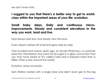we don't even start.

**I suggest to you that there's a better way to get to worldclass within the important areas of your life: evolution.** 

**Small baby steps. Daily and continuous microimprovements. Steady and consistent elevations in the way you work, lead and live.** 

Dad always said slow and steady wins the race.

Every dream started off small and grew step by step.

One hundred and twenty years ago, at Jacobs Pharmacy, a customer paid Doc Permberton five cents for his sugar in a glass concoction that you may have heard of (it's called Coke and is enjoyed more than a billion times a day around the world).

Evolution versus revolution.

Sam Walton started with a single store and didn't even get to the big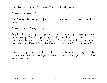box idea until he was in business for about thirty years.

Evolution not revolution.

The Everest climbers don't jump up to the summit. No, they climb it bit by bit.

Evolution not... You get my point.

Day by day, step by step, you can move towards your own personal mountaintop. You (and your organization) really can be, do and have a lot more than you've ever imagined. The life you are living today can be radically different from the life you can have 3 or 6 months from now.

I see it happen all the time, with my clients. And you'll get to the professional and personal greatness you deserve through an evolution. Not a revolution.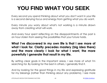# **YOU FIND WHAT YOU SEEK**

Every second you spend thinking about what you don't want in your life is a second denying focus and energy from getting what you do want.

Every minute you worry about what's not working is a minute drawn away from creating what will work.

And every hour spent reflecting on the disappointments of the past is an hour stolen from seeing the possibilities that your future holds.

#### **What I've discovered in my own life is that I see more of what I look for. Clarity precedes mastery (big idea there) and the more clearly I look for what I want, the more powerfully I generate that result in my life.**

By setting clear goals in the important areas, I see more of what I'm searching for. By looking for the best in others, I generally find it.

And by looking for the good things in my life and expressing gratitude for my blessings (rather than thinking about any problems), I see more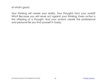of what's good.

Your thinking will create your reality. Your thoughts form your world? Why? Because you will never act against your thinking. Every action is the offspring of a thought. And your actions create the professional and personal life you find yourself in today.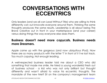### **CONVERSATIONS WITH ECCENTRICS**

Only leaders (and we all can Lead Without Title) who are willing to think differently can out-innovate everyone around them. Thinking the same thoughts produces the same results. Leadership is all about being The Brave Creative out in front in your marketspace (and your career) versus doing things the way everyone else does them.

#### **Business doesn't need more copycats. Business needs more Dreamers.**

Apple came up with the gorgeous (and now ubiquitous iPod). Now there are so many products with the letter "i" in front of it I've lost track. Too much copying. Not enough leading.

A well-respected business leader told me about a CEO who did something that made me smile. He hired a young wonderkid fresh out of business school - a kid who was not only brilliant but thought differently and wasn't afraid to voice his eccentric thoughts. The mandate of the new hire? Sit on the company's management team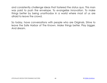and consistently challenge ideas that fostered the status quo. This man was paid to push the envelope. To evangelize innovation. To make things better by being unorthodox in a world where most of us are afraid to leave the crowd.

So today, have conversations with people who are Originals. Strive to leave the Safe Harbor of The Known. Make things better. Play bigger. And dream.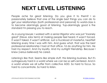# **NEXT LEVEL LISTENING**

People ache for great listening. Do you give it to them? I so passionately believe that one of the single best things you can do to get your relationships (both professional and personal) to world-class is to become alarmingly good at listening. Yup-alarmingly good is the standard I'm pressing you to reach.

As a young lawyer, I worked with a senior litigator who was just "insanely great" (Steve Jobs term) at making people feel heard. It wasn't forced. It wasn't faked. It wasn't artificial. Just a truckload of masterful, heartfelt listening every time I was with him. And guess what, that was the best professional relationship I had at that office. I'd do anything for him. He had my respect. And my loyalty. And my outright friendship. Because I knew (versus believed) he cared.

Listening's like that. Seems like simple stuff, this listening business. But it's outrageously hard in a world where we can be so self-centered. And in a world where we all suffer from collective ADD. So hard to focus. So hard to concentrate. So hard to listen.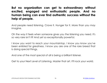**But no organization can get to extraordinary without excited, engaged and enthusiastic people. And no human being can ever find authentic success without the help of people.** 

And people need listening. Crave it. Hunger for it. More than you may imagine.

Oh the way it feels when someone gives you the listening you need. It's so very rare isn't it? And yet so exceptionally powerful.

I know you want to reach your mountaintop. I know you know you've been enlisted for greatness. I know you are one of the rare breed that is doing special things.

And one of the most special of all is being a brilliant listener.

Get to your Next Level of Listening. Master that art. It'll rock your world.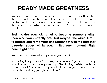# **READY MADE GREATNESS**

Michelangelo was asked how he created his masterpieces. He replied that he simply saw the works of art embedded within the slabs of marble and then set about chipping away at everything that wasn't of that work of art. Which brings me to you. And your ready-madegreatness.

**Just maybe your job is not to become someone other than who you currently are. Just maybe, the Main Aim is to access and remember and reconnect with the best that already resides within you. In this very moment. Right here. Right now.** 

And how can you recall your personal greatness?

By starting the process of chipping away everything that is not truly you. The fears you have picked up. The limiting beliefs you have accumulated. The false assumptions that divorce you from your most authentic - and staggeringly brilliant - self.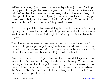Self-remembering (and personal leadership) is a journey. Took you many years to forget the personal greatness that you once knew as a kid (before the disappointments and negativity of the world began to blind you to the truth of your bigness). You may have been thinking you have been designed for mediocrity for 30 or 40 or 50 years. So that reconnection with your best won't happen in a week.

But chip away - bit by bit- at everything that is not that work of art - day by day. You know that small, daily improvements stack into massive results over time (that idea just might transform your life so please let it linger).

The difference between a remarkable life and a mediocre one is not nearly as large as you might imagine. Nope, we all pretty much start out with the same raw stuff. Most of us are cut from the same cloth. We all can be a hero if we choose. And it just isn't that hard.

Greatness comes by doing a few small and smart things each and every day. Comes from taking little steps, consistently. Comes from a making a few small chips against everything in your professional and personal life that is ordinary, so that a day eventually arrives when all that's left is The Extraordinary. Just something to think about. From a man who wants you to shine.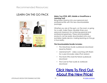Recommended Resources:

### LEARN ON THE GO PACK **Make Your IPOD, MP3, Mobile or SmartPhone a**



### **Learning Tool!**

Bring Robin Sharma into your personal and professional life with this new downloadable package.

Whether you are at the gym, on the road, or going for a walk, make these valuable times your personal classroom for achieving personal and professional greatness. These downloadable products can be easily downloaded onto your portable media device, making learning-on-the-go a true reality.

#### **This Downloadable Bundle Includes:**

- *The Greatness Guide* audiobook download (read by Robin)
- robinsharmaTV video coaching with Robin for a year (includes video iPod version)
- The Monk Who Sold His Ferrari audiobook download
- The Cure for Fear audio & workbook download

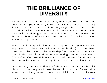### **THE BRILLIANCE OF DIVERSITY**

Imagine living in a world where every movie you see has the same story line. Imagine if the only choice of drink was water and the only flavor of ice cream was chocolate (okay maybe that one wouldn't be so bad). Imagine that every conversation with every person made the same point. And imagine that every day had the same ending and that every thought reflected the same idea. There's a point I'm getting to. Please stay with me.

When I go into organizations to help inspire, develop and elevate employees so they play at world-class levels (and I've been crisscrossing this planet on this Leadership Crusade for nearly ten years now), I often see mission statements espousing a respect for diversity. "We at ClientCo value differences and cherish diversity." And, most of the companies I work with actually do. But here's my question: Do you?

Do you really get the brilliance of diversity? When you really think about it, it's the people who see the world through a different set of lenses that actually serve to stretch your thinking and provoke new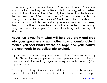understanding (and provoke they do). Sure they irritate you. They drive you crazy. Because they are not like you. But may I suggest that behind your irritation is the emotion of fear (big idea there). Not the terror on the darkness type of fear. More a fear of the unknown or a fear of having to leave the Safe Harbor of The Known (the worldview that you've had your whole life) and maybe see a new way of seeing things. No one likes to leave the shores of the home they know. Always brings up fear. Scary yes. For your ultimate growth and good. Absolutely.

#### **Never run away from what will help you grow and step into your greatness - no matter how uncomfortable it makes you feel (that's where courage and your natural bravery needs to be called into service).**

Yup - diversity helps us in ways we cannot fathom. Makes us better (by a lot). Those different people with different perspectives and different skin colors and different languages can equip you with your MILs (Most Important Lessons).

The people and experiences that are different offer you the gorgeous opportunity to rethink the assumptions and closely held opinions you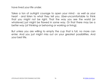have lived your life under.

Takes a ton of outright courage to open your mind - as well as your heart - and listen to what they tell you. Uber-uncomfortable to think that you might not be right. That the way you see the world (or whatever) just might be flawed in some way. Or that there may be a better way (of thinking or behaving or working or living).

But unless you are willing to empty the cup that is full, no more can enter. And you just might miss out on your greatest possibilities. And your best life.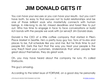## **JIM DONALD GETS IT**

You can have your excuses or you can have your results - but you can't have both. So easy to find excuses not to build relationships and be one of those brilliant souls who masterfully connects with human beings. A mile-long to do list, missed deadlines and forest fires to put out. Who has time to engage in face to face conversations or build rich bonds with the people we work with (or serve)? Jim Donald does.

Donald is the CEO of a little coffee company that started in Pike's Place Market in Seattle. He's a pretty busy guy too. Tons of to-dos and places to be. Full schedule like you and me. But he finds time to put people first. Gets the fact that the way you treat your people is the way they'll treat your customers. Understands that when people feel great about themselves, they do great work.

Oh, you may have heard about the company he runs. It's called Starbucks.

This guy's amazing.

According to the latest issue of FORTUNE, on a good day he personally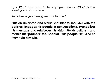signs 500 birthday cards for his employees. Spends 45% of his time traveling to Starbucks stores.

And when he gets there, guess what he does?

**Puts on an apron and works shoulder to shoulder with the baristas. Engages his people in conversations. Evangelizes his message and reinforces his vision. Builds culture - and makes his "partners" feel special. Puts people first. And so they help him win.**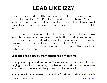### **LEAD LIKE IZZY**

Isadore Sharpe started a little company called The Four Seasons, with a single little hotel, in 1961. Did deals based on a handshake. Spoke his truth and kept his word. Did great work and offered great value. Well, good things happen to people who do good things (key thought to remember).

The Four Seasons, now one of the planet's most successful hotel chains, recently received purchase offers from the likes of Bill Gates and other heavy-hitters. Friends and colleagues of Izzy Sharpe said things like "he deserves all the great things happening to him". Stands to make hundreds of millions. His reputation continues to soar. Fitting way to tie up his Cinderella Story.

#### **Lessons I took away from these recent events:**

**1. Stay true to your vision/dream:** There's something to be said for just staying at what you are trying to achieve well past the point everyone else gives up. Life rewards the (unreasonably) devoted.

**2. Stay true to your values:** In a world of fast-buck artists and people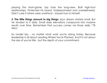playing the short-game, Izzy took the long-view. Built high-trust relationships. Protected his brand. Underpromised and overdelivered. Didn't care if others were unethical - stayed true to himself.

**3. The little things amount to big things:** Izzy's dream started small. But he tended to it daily. Small daily elevations compound into massive results over time. Remember that success comes via those daily "1% Wins".

So model Izzy - no matter what work you're doing today. Because leadership is all about Leading Where You're Planted. And it's not about the size of you're title - but the depth of your commitment.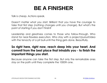### **BE A FINISHER**

Talk is cheap. Actions speak.

Doesn't matter what you start. Brilliant that you have the courage to take that first step (nothing changes until you change). But what's the point of starting if you don't finish?

Leadership and greatness comes to those who follow-through. Who stand for near-flawless execution. Who stay with a project/pursuit/idea with the tenacity of a pit bull-until the thing gets done. Beautifully.

#### **So right here, right now, reach deep into your heart. And commit from the best place that inhabits you - to finish the important things you start.**

Because anyone can take the first step. But only the remarkable ones stay on the path until they complete the 1000th one.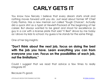### **CARLY GETS IT**

You know how fiercely I believe that every dream starts small and nothing moves forward until you do. Just read about former HP Chief Carly Fiorina. Has a new memoir out called "Tough Choices". Actually did a quick stint as a typist at Hewlett-Packard at the beginning of her career. But always wanted to be great and stood for excellence (a guy in a car with a license plate that said "V Best" drove by me today as I drove my kids to school; my guess is he stands for the same thing).

One of her big insights:

**"Don't think about the next job, focus on doing the best with the job you have. Learn everything you can from everyone you can. Focus on the possibilities of each job, not the limitations."** 

Could I suggest that we read that advice a few times to really integrate it?

Because it's good.

LITTLE BLACK BOOK FOR STUNNING SUCCESS 82 © [ROBIN SHARMA](http://bit.ly/ldebook-robin-sharma)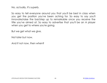No, actually, it's superb.

So easy to tell everyone around you that you'll be best in class when you get the position you've been aching for. So easy to say you'll innovate/raise the bar/step up to remarkable once you receive the title you've aimed at. So easy to advertise that you'll be an A player when you get to where you're going.

But we get what we give.

Not later but now.

And if not now, then when?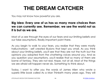### **THE DREAM CATCHER**

You may not know how powerful you are.

#### **Big Idea: Every one of us has so many more choices than we can currently see. Remember, we see the world not as it is but as we are.**

Most of us see through the eyes of our fears and our limiting beliefs and our false assumptions. Really important point there.

As you begin to walk to your fears, you realize that they were mostly hallucinations - self created illusions that kept you small. As you think about your limiting beliefs, you'll see that they are not the truth but the opinions you adopted from the chattering voices around you. And as you question your assumptions, you'll realize that so many of them are borne of fantasy. They are not real. Nope, not at all. Most of the things we are afraid will happen never do. Something to think about.

Today, I want to offer you the words of James Allen who wrote a superb little book called As a Man Thinketh many years ago. They will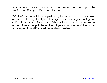help you enormously as you catch your dreams and step up to the poetic possibilities your life is meant to be:

"Of all of the beautiful truths pertaining to the soul which have been restored and brought to light in this age, none is more gladdening and fruitful of divine promise and confidence than this - that **you are the master of your thought, the molder of your character, and the maker and shaper of condition, environment and destiny.**"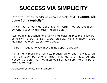## **SUCCESS VIA SIMPLICITY**

Love what the co-founder of Google recently said: **"Success will come from simplicity."**

I invite you to really go deep into his words. They are enormously powerful. Success via simplicity - great insight.

Most people in business and within their personal lives move towards complexity. More To Dos. More projects. More products. More meetings. More possessions. More goals.

The best - I suggest to you -move in the opposite direction.

They try and make their business models leaner and more focused. They do fewer but smarter things. They get wildly focused and wonderfully lean. And they most definitely run from trying to be all things to all people.

Because real genius lives in simplicity.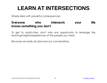## **LEARN AT INTERSECTIONS**

Simple idea with powerful consequences:

#### **Everyone who intersects your life knows something you don't.**

To get to world-class, don't miss any opportunity to leverage the learning/insights/experiences of the people you meet.

Because we really do become our conversations.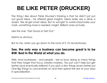# **BE LIKE PETER (DRUCKER)**

The thing I like about Peter Drucker's thinking is that he didn't just put out good ideas - he offered great Insights. Ideas really are a dime a dozen. We all get smart ideas. But to win/get to world-class/make your mark, something more is needed. Insight. Brilliant ones actually.

Like this one: "Get Good or Get Out."

Seems so obvious.

But to me, when you go down to the roots of it, it's revolutionary.

#### **See, the only way a business can become great is to be BIW: Best in the World at what you do.**

Well, most businesses - and people - are so busy doing so many things that they forget that focus creates mastery. You just can't help but get better (and eventually brilliant) if you pick a few things (even better just One Big Thing) to concentrate on and then spend the rest of your days in specialization.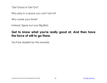"Get Good or Get Out".

Why play in a space you can't win in?

Why waste your time?

Instead, figure out your Big Bets.

#### **Get to know what you're really good at. And then have the force of will to go there.**

You'll be dazzled by the rewards.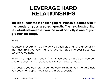### **LEVERAGE HARD RELATIONSHIPS**

**Big Idea: Your most challenging relationship carries with it the seeds of your greatest growth. The relationship that tests/frustrates/irritates you the most actually is one of your greatest blessings.** 

Why?

Because it reveals to you the very beliefs/fears and false assumptions that most limit you. Get that and you can step into your NLG: Next Level of Greatness.

What I'm suggesting to you is that - if you choose to do so - you can leverage your hardest relationship into your greatest success.

The people you can't stand can actually transform your life. And help you become happier, healthier and more successful.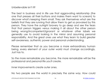#### Unbelievable isn't it?

The best in business and in life use that aggravating relationship (the one that presses all their buttons and makes them want to scream) to discover what's keeping them small. They ask themselves what are the beliefs that they are running that allow them to get so provoked by this person. They have the outright bravery to go deep and see the fears that that person triggers versus making it all about the other person being wrong/incompetent/ignorant or whatever other labels we generally use to avoid looking in the mirror and assuming personal responsibility. And the great ones use what they learn to build greater self-awareness, authentic power and personal understanding.

Please remember that as you become a more extraordinary human being, every element of your outer world must change accordingly. Just has to.

So the more remarkable you become, the more remarkable will be the professional and personal life you'll create.

Inner improvements create outer ones.

No two people see the world in precisely the same way. How could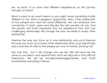we, as each of us have had different experiences on the journey through our days?

What a word or an event means to you might mean something totally different to me. What a gorgeous opportunity, then, is the intersection of two people who view the world differently. We can embrace that connection to learn, grow and elevate the very people we are. And the growth and inner expansion that we experience from that one challenging relationship will change the way we relate in every other relationship.

Improve the way you show up in one relationship and you'll improve the way you show up in every other relationship (from your teammates and customers at work to the people you love at home). Exciting no?

Not only that - but it will change who we are. We will never be the same as we stretch and expand from what we discover in that difficult interaction. We will be stronger/wiser/bigger/better. And that'll revolutionize everything. Forever.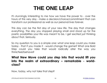### **THE ONE LEAP**

It's stunningly interesting to me how we have the power to - over the hours of this very day - make a decision/choice/commitment that can transform our professional as well as our personal lives forever.

This day can be the first day of your new life. The day that changes everything. The day you stopped playing small and stood up for the poetic possibilities your life was meant to be. I get excited just thinking about that. Seriously.

So my question to you is a simple one: what one leap could you make today - that if you made it - would change the game? What one Bold Step could you take that would radically alter the way you think/feel/behave?

#### **What New Move could you step into that would lift you into the realm of extraordinary – remarkable - worldclass?**

Now, today, why not take that step?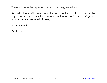There will never be a perfect time to be the greatest you.

Actually, there will never be a better time than today to make the improvements you need to make to be the leader/human being that you've always dreamed of being.

So, why wait?

Do It Now.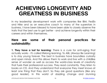### **ACHIEVING LONGEVITY AND GREATNESS IN BUSINESS**

In my leadership development work with companies like IBM, FedEx and Nike and as an executive coach to many of the superstars in business, I have been blessed to have been able to closely observe the traits that the best use to get better - and achieve longevity within their careers and within themselves.

#### **Here are some of their personal practices for sustainability:**

**1. They have a lust for learning:** There is a cure for anti-aging that actually works - it's called lifelong learning. To ABL (Always Be Learning) is to stay young forever. The best in business have boundless curiosity and open minds. And this allows them to work and live with a childlike sense of wonder as well as access the world-class levels of creativity that fuels their professional success. They read constantly. They listen to books on CD. And they understand that everyone they meet knows at least one thing that they don't. So they ask good questions (like any good leader). In this world of dazzling change and stunning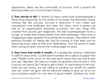opportunity, ideas are the commodity of success. And a passion for learning makes you a human idea factory.

**2. They devote to NSI:** A mantra of many world-class businesspeople is Never Stop Improving. As I've written in my book The Greatness Guide, nothing fails like success. Success is seductive. It can make one complacent and inefficient and stale. Too often, once a person (as well as an organization) becomes successful, the very things that created that success get neglected. The best businesspeople have a hunger to make their todays better than their yesterdays. They have a staggeringly large appetite for pushing the envelope. They stretch their personal frontiers by taking risks and by running to their fears and by improving every area of their lives. Relentlessly. And this serves to keep them young at heart. And at the cutting edge for years.

**3. They know that health is wealth:** At a leadership seminar I delivered in Delhi to executives, a participant handed me a piece of paper that said: "Health is the crown on the well man's head that only the ill man can see." Big idea. We take our health for granted until we lose it. And if we do, we spend 24/7 trying to get it back. It's fascinating to me how, while we are young, we are willing to sacrifice our health for wealth and yet, when we grow old-we become willing to give up all of our accumulated wealth for one day of good health. Getting into work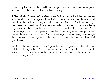class physical condition will make you more creative, energetic, focused and happy. Make that leap today.

**4. They find a Cause:** In The Greatness Guide, I write that the real secret to immortality and longevity is to find a cause that's larger than yourself and then have the courage to donate your life to it. That cause might be being an extraordinary leader who creates an extraordinary organization that creates extraordinary value for it's customers. That cause might be to be a person devoted to leaving everyone you meet better than you found them. That cause might mean being a manager that develops the highest potential of his people and evokes their greatness.

My Dad shared an Indian saying with me as I grew up that still lives within my imagination: "when you were born, you cried while the world rejoiced. Live your life in such a way that when you die, the world cried while you rejoice."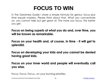## **FOCUS TO WIN**

In The Greatness Guide I share a simple formula for genius: focus plus time equals mastery. Please think about that. What you concentrate on, you cannot help but get great at. The more you focus, the better you get.

**Focus on being superb at what you do and, over time, you will be known as remarkable.** 

**Focus on your health and, of course, in time - it will get to splendid.** 

**Focus on developing your kids and you cannot be denied having great kids.** 

**Focus on your inner world and people will eventually call you wise.**

Focus. Focus. Focus...on your burning priorities.

LITTLE BLACK BOOK FOR STUNNING SUCCESS 98 © [ROBIN SHARMA](http://bit.ly/ldebook-robin-sharma)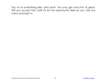Say no to everything else. Life's short. You only get one shot at great. Will you accept The Call? Or let the opportunity slide by you. Like too many amongst us.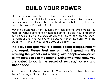## **BUILD YOUR POWER**

Life's counter-intuitive. The things that we most resist carry the seeds of our greatness. The stuff that makes us feel uncomfortable makes us stronger. And the things that are hard to do help us get to our authentic power. Difficult is Good.

Wowing a customer when you just can't smile another smile makes you more powerful. Being honest when it's easy to lie builds your character. Being excellent on a job/project/task when no one's watching grows self-respect and inner resolve and personal honor. The hard stuff is the great stuff. It's the very building blocks of a brilliant life.

**The easy road gets you to a place called disappointment and regret. Please trust me on that: I spend my life traveling the planet and working with people/companies so my ear's close to the ground. Doing what you know you are called to do is the secret of success/mastery and inner peace.** 

As my friend Nido Qubein once said: "The price of discipline is less than the pain of regret." I wish I'd said that :)

LITTLE BLACK BOOK FOR STUNNING SUCCESS 100 © [ROBIN SHARMA](http://bit.ly/ldebook-robin-sharma)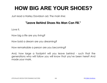### **HOW BIG ARE YOUR SHOES?**

Just read a Harley Davidson ad. The main line:

#### **"Leave Behind Shoes No Man Can Fill."**

Love it.

How big a life are you living?

How bold a dream are you dreaming?

How remarkable a person are you becoming?

And, how large a footprint will you leave behind - such that the generations who will follow you will know that you've been here? And made your mark.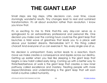### **THE GIANT LEAP**

Small steps are big steps. Little decisions can, over time, cause stunningly wonderful results. Tiny changes lead to real and sustained transformation. It's all about evolution rather than revolution. I know you know that.

It's so exciting to me to think that-this very day-can serve as a springboard to an extraordinary professional and personal life. One decision you make over the coming hours could be the giant leap that launches a tidal wave of greatness that leads you to a place well above your boldest dreams. Remarkable isn't it, this thing called choice? And everyone of us can exercise it. Yes, every single one of us.

No decision is unimportant. Every action leads to a reaction. Each move we make creates a consequence and ripples across our destiny. Getting up earlier when you feel like sleeping is the giant leap that begins a new habit called early rising. Coming up with a better way to think/feel/behave at work is the giant leap that creates a new inner pathway called excellence and mastery. Treating people with more respect/kindness and understanding is the giant leap that will soon install a routine called humanity.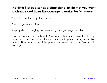#### **That little first step sends a clear signal to life that you want to change and have the courage to make the first move.**

The first move is always the hardest.

Everything's easier after that.

Step by step, changing and elevating your game gets easier.

You become more confident. The new habits and internal pathways become more familiar. And you-almost invisibly-become greater. And more brilliant. And more of the person you were born to be. Told you it's exciting.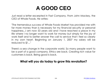### **A GOOD CEO**

Just read a letter excerpted in Fast Company. From John Mackey, the CEO of Whole Foods. He writes:

"The tremendous success of Whole Foods Market has provided me with far more money than is necessary for my financial security or personal happiness...I am now 53 years old and I have reached a place in my life where I no longer want to work for money but simply for the joy of work itself and to better answer the call to service that I feel so clearly in my own heart. Beginning on January 1, 2007 my salary will be reduced to \$1..."

There's a sea change in the corporate world. So many people want to be a part of a good company. Ethics are back. Creating rich value for customers is back. Being good is back.

#### **What will you do today to grow this revolution?**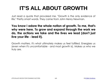## **IT'S ALL ABOUT GROWTH**

Just read a quote that provoked me. "Growth is the only evidence of life." Pretty smart words. They came from John Henry Newman.

#### **You know I adore the whole notion of growth. To me, that's why were here. To grow and expand through the work we do, the actions we take and the lives we lead (don't just live your life - lead it).**

Growth matters. It's what ultimately makes us feel fulfilled. Energizes us (even when it's uncomfortable - and most growth is). Makes us who we truly are.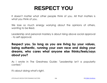### **RESPECT YOU**

It doesn't matter what other people think of you. All that matters is what you think of you.

We lose so much energy worrying about the opinions of others, wanting to be liked.

Leadership and personal mastery is about rising above social approval - to self approval.

#### **Respect you. So long as you are living by your values, being authentic, running your own race and doing your dreams, who cares what anyone else thinks/feels/says about you?**

As I wrote in The Greatness Guide: "Leadership isn't a popularity contest."

It's about doing what's right.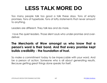## **LESS TALK MORE DO**

Too many people talk too good a talk these days. Tons of empty promises. Tons of hyperbole. Tons of lofty statements that never amount to anything.

Leaders are different. They talk less and do more.

 I love the quiet leaders. Those silent souls who under-promise and overdeliver.

#### **The Merchants of Wow amongst us who know that a person's word is their bond. And that every promise kept builds credibility - the foundation of trust.**

So make a commitment today to be impeccable with your word. And be a person of action. Someone who is all about generating results. Because getting great things done speaks for itself.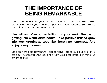### **THE IMPORTANCE OF BEING REMARKABLE**

Your expectations for yourself - and your life - become self-fulfilling prophecies. What you intend shapes what you become. So make a commitment, today, to be remarkable.

#### **Live full out. Vow to be brilliant at your work. Devote to getting into world-class health. Take positive risks to grow into your greatness. Love like there's no tomorrow. And enjoy every moment.**

Life's an incredible adventure. Tons of highs - lots of lows. But all of it - is precious. Gorgeous. And designed with your best interests in mind. So embrace it all.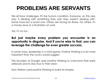### **PROBLEMS ARE SERVANTS**

We all face challenges. It's the human condition. Everyone, on this very day, is dealing with something they wish they weren't dealing with. Some have lost a loved one. Others are facing an illness. For others, it's a money issue or a frustration at work.

Yes, it's no fun.

### **But just maybe every problem you encounter is an opportunity in disguise. And if you're wise to that, you can leverage the challenge for even greater success.**

In some ways, leadership is a mind game. Positive thinking is a lot more important than the cynics would suggest.

The founders of Google used positive thinking to overcome their early setbacks and to stay true to their vision.

Sam Walton used positive thinking to build an empire.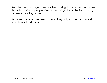And the best managers use positive thinking to help their teams see that what ordinary people view as stumbling blocks, the best amongst us see as stepping stones.

Because problems are servants. And they truly can serve you well. If you choose to let them.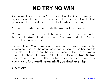# **NO TRY NO WIN**

Such a simple idea: you can't win if you don't try. So often, we get a big idea. One that will get our careers to the next level. One that will get our lives to the next level. One that will really set us soaring.

But then guess what happens next? The voice of fear takes over.

We start selling ourselves on all the reasons why we'll fail. Eventually, that beautiful/big/bold idea seems silly/unattainable/foolish. And so we don't act. We don't even try.

Imagine Tiger Woods wanting to win but not even playing the tournament. Imagine the great manager wanting to lead her team to world-class but not even showing up. Imagine the brave inventor wanting to change the world. Yet not even doing anything. Nothing happens until you move (tattoo that line on your brain cells if you really want to win). **And you'll never win if you don't even try.** 

Enough said.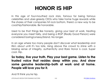### **HONOR IS HIP**

In this age of foul-mouthed rock stars, famous for being famous celebrities and uber-greedy CEOs who take home huge rewards while the shares of their companies hit rock bottom, there's a new way to be cool/hip/fashionable. Be honorable.

Used to be that things like honesty, giving your best at work, treating everyone you meet fairly, and being a RGP (Really Good Person) were considered boring/unsexy/bland. No longer.

In an age where too many people don't discover what leadership and life's about until it's too late, rising above the crowd to shine with a blazing sense of integrity, authenticity and Rare Honor is cool. Super cool. Hip.

**So today, live your truth. Play your best game. Listen to the trusted voice that resides deep within you. And show some genuine leadership-both at work and at home. People will love you for it.** 

And I'll think you're hip.

LITTLE BLACK BOOK FOR STUNNING SUCCESS 112 © [ROBIN SHARMA](http://bit.ly/ldebook-robin-sharma)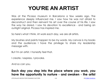### **YOU'RE AN ARTIST**

Was at the Picasso museum in Barcelona a few weeks ago. The experience deeply influenced me. I saw how he was not afraid to deconstruct and then reinvent his art over the course of his life. I saw the way he dared. I saw his devotion to excellence - and being an outright original. Picasso has inspired me.

So here's what I think. At work each day, we are all artists.

My brushes and paints happen to be my words. My canvas is my books and the audiences I have the privilege to share my leadership message with.

But I'm an artist. I honestly feel that.

I create. I express. I provoke.

And so can you.

#### **Each day you step into the place where you work, you have the opportunity to nurture - and awaken - the artist**

LITTLE BLACK BOOK FOR STUNNING SUCCESS 113 © [ROBIN SHARMA](http://bit.ly/ldebook-robin-sharma)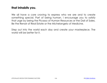#### **that inhabits you.**

We all have a core craving to express who we are and to create something special. Part of being human. I encourage you to satisfy that urge by being the Picasso of Human Resources or the Dali of Sales. Be the Renoir of Real Estate or the Michelangelo of Medicine.

Step out into the world each day and create your masterpiece. The world will be better for it.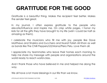# **GRATITUDE FOR THE GOOD**

Gratitude is a beautiful thing. Makes the recipient feel better. Makes the sender feel great.

In my journal, I often express gratitude to the people who elevate/influence and inspire me. On crisp white pages, I honor my kids for all the gifts they have brought to my life (wish I could be half as amazing as them).

I celebrate the musicians who fill me with joy, people like Dave Matthews and Shakira and Zucchero and Nusrat Fateh Ali Khan as well as bands like The Chilli Peppers/U2/Mana/Piero Pelu. Love them all.

I appreciate my teammates who leave their homes each morning to help me share my message with people and organizations around the world ready to reach world-class.

And I thank those who have believed in me and helped me along the way.

We all have a lot more blessings in our life than we know.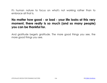It's human nature to focus on what's not working rather than to embrace all that is.

#### **No matter how good - or bad - your life looks at this very moment, there really is so much (and so many people) you can be thankful for.**

And gratitude begets gratitude. The more good things you see, the more good things you see.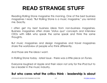## **READ STRANGE STUFF**

Reading Rolling Stone magazine this morning. One of the best business magazines I read. "But Rolling Stone is a music magazine," you remind me. Exactly.

I often get my best business ideas from non-business magazines. Business magazines often share "status quo" concepts and interview CEOs with MBA who speak the same speak and think the same thoughts.

But music magazines and design magazines and travel magazines share the worldview of people who think differently.

And those are the ideas I want.

In Rolling Stone today - latest issue - there was a little piece on iTunes.

Everyone laughed at Apple and their vision not only for the iPod but to be a leader in the music industry.

#### **But who cares what the critics think - leadership is about**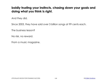### **boldly trusting your instincts, chasing down your goals and doing what you think is right.**

And they did.

Since 2003, they have sold over 3 billion songs at 99 cents each.

The business lesson?

No risk, no reward.

From a music magazine.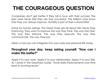# **THE COURAGEOUS QUESTION**

Companies don't get better if they fall in love with their success. The best ones never feel they are truly successful. The brilliant ones know that they can always improve. Humility is part of their cultural DNA.

Same for human beings. The Great Ones are all about NSI: Never Stop Improving. They want to improve the way they think. The way they feel. The way they behave. The way they execute. The way they communicate. The way they live.

Here's a tool you can integrate into your work and personal life today.

#### **Throughout your day, keep asking yourself: "How can I make this better?"**

Apply it to your work. Apply it to your relationships. Apply it to your Self. As I wrote in The Greatness Guide: "Small daily improvements over time lead to stunning results."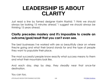### **LEADERSHIP IS ABOUT CLARITY**

Just read a line by famed designer Karim Rashid: "I think we should always be looking 15 minutes ahead." I suggest we should always be thinking 15 years ahead.

#### **Clarity precedes mastery and it's impossible to create an outcome/goal/result that you can't even see.**

The best businesses I've worked with are so beautifully clear on where they're going and what their brand stands for and the type of people they want to populate their place.

The most successful people know exactly what success means to them and what their mountains look like.

And each day, step by step, they steadily near that once-far destination.

You can too.

LITTLE BLACK BOOK FOR STUNNING SUCCESS 120 © [ROBIN SHARMA](http://bit.ly/ldebook-robin-sharma)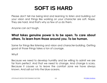### **SOFT IS HARD**

Please don't tell me being kind and learning to listen and building out your vision and things like working on your character are soft. Nope. They are hard. And that's why so few of us do them.

Anyone can act tough.

### **What takes genuine power is to be open. To care about others. To learn from those around you. To be human.**

Same for things like listening and vision and character-building. Getting good at those things takes a ton of courage.

Why?

Because we need to develop humility and be willing to admit we are far from perfect. And that we need to change. And change is scary. Because it causes us to leave the comfort zone we have always known. And sail out into the blue oceans.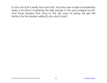So the soft stuff is really the hard stuff. And the new model of leadership really is all about mastering the skills people in the past judged as soft. And those leaders that cling to the old ways of being will get left behind. By the leaders willing to do what's hard.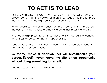# **TO ACT IS TO LEAD**

As I wrote in Who Will Cry When You Die?, "The smallest of actions is always better than the noblest of intentions." Leadership is a lot more than just dreaming up big idea. It's about acting on them.

What separates the ordinary ones from The Great Ones is a simple fact: the best of the best execute brilliantly around their most vital priorities.

In a leadership presentation I just gave to BP, I called the concept BRBO: Best Resources on Biggest Opportunities.

Leadership is, in so many ways, about getting good stuff done. Not started. Not in process. Done.

#### **So today, make a decision that will revolutionize your career/life/self: never leave the site of an opportunity without doing something to seize it.**

And be less about talk - and more about DO.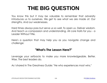### **THE BIG QUESTION**

You know this but it may be valuable to remember that adversity introduces us to ourselves. We get to see what we are made of. Our strengths. And our weaknesses.

Hard times always pass but serve us so well. To open us. Deliver wisdom. And teach us compassion and understanding. All core traits for you - a Leader Without Title.

Here's a question that may help you as you navigate change and challenge:

#### **"What's The Lesson Here?"**

Leverage your setbacks to make you more knowledgeable. Better. Wise. The best leaders do.

As I shared in The Greatness Guide: "He who experiences most wins."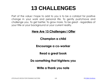### **13 CHALLENGES**

Part of the value I hope to add to you is to be a catalyst for positive change in your work and personal life. To gently push/move and challenge you. To get better. To grow more. To be great - regardless of your title or your background or your current reality.

#### **Here Are 13 Challenges I Offer**

**Champion a child** 

**Encourage a co-worker** 

**Read a great book** 

**Do something that frightens you** 

**Write a thank you note**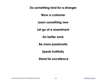**Do something kind for a stranger** 

**Wow a customer** 

**Learn something new** 

**Let go of a resentment** 

**Do better work** 

**Be more passionate** 

**Speak truthfully** 

**Stand for excellence**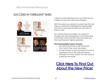#### Recommended Resources:

#### SUCCEED IN TURBULENT TIMES



Is fear an overwhelming force in your life? Are you unable to cope with crises and change?

With this system you will learn my best tools that will help you transform challenges into opportunities and how to best lead yourself and your team in times of crisis.

You will become more resilient, an expert on change and crisis management, and will be able to live a life void of the fears that have kept you from reaching your highest potential.

#### **This Downloadable System Includes:**

- *The Greatness Guide* audio download
- *The Cure for Fear* audio download
- *The Best Things I've Learned about Success in Leadership and in Life* video download
- *Manage Your Time, Master Your Life* audio & workbook download

### [Click Here To Find Out](http://bit.ly/ldebook-turbulent-times) [About the New Price!](http://bit.ly/ldebook-turbulent-times)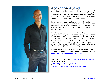

### About the Author

Robin Sharma is the globally celebrated author of 11 international bestselling books on leadership including **The Leader Who Had No Title**, the phenomenal #1 blockbuster that is inspiring a movement around the idea that "Now, anyone - in any organization - can show Leadership".

His work has been published in over 60 countries and in nearly 70 languages, making him one of the most widely read authors in the world. He shot to fame with The Monk Who Sold His Ferrari, which has topped international bestseller lists and sold millions of copies.

Robin is the founder of Sharma Leadership International Inc., a global consultancy that helps people in organizations Lead Without a Title. Clients comprise of many of the FORTUNE 500 including Microsoft, GE, NIKE, FedEx and IBM. Organizations such as NASA, IMD Business School, Yale University and The Young President's Organization are also SLI clients. Robin is a former litigation lawyer who holds two law degrees including a Masters of Law (Dalhousie Law School).

**To book Robin to speak at your next event or to run a seminar for your company, please contact him at: [http://www.robinsharma.com/speaking](http://bit.ly/ldebook-leadership-development)**

**Check out his popular blog:** [http://www.robinsharma.com/blog](http://bit.ly/ldebook-robin-sharma-blog) **Follow him on Twitter:**  [http://www.twitter.com/\\_robin\\_sharma](http://bit.ly/ldebook-robin-on-twitter) **Connect with him on facebook:** [http://www.facebook.com/theofficialrobinsharmapage](http://on.fb.me/ldebook-robin-on-facebook)